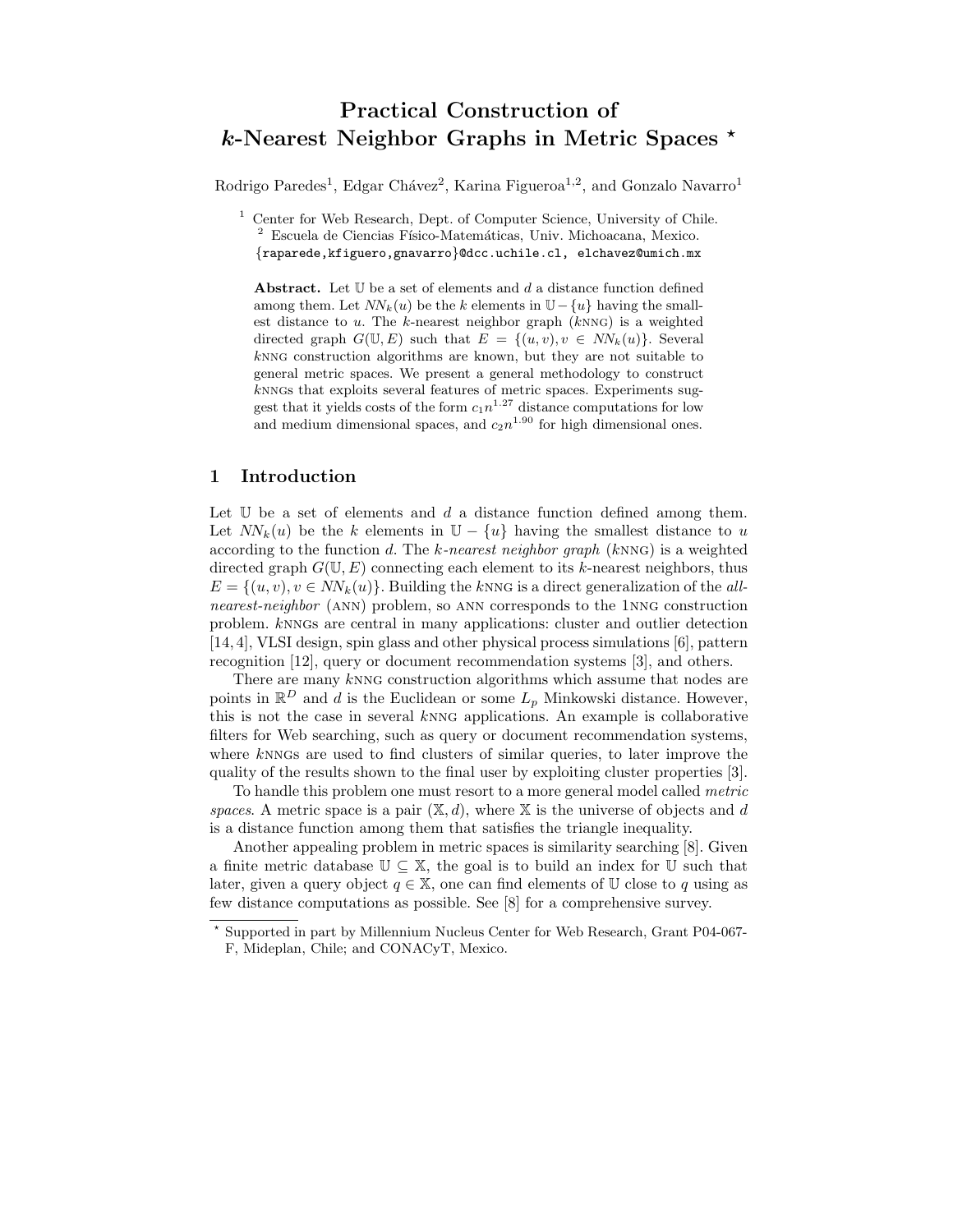# Practical Construction of  $k$ -Nearest Neighbor Graphs in Metric Spaces  $\star$

Rodrigo Paredes<sup>1</sup>, Edgar Chávez<sup>2</sup>, Karina Figueroa<sup>1,2</sup>, and Gonzalo Navarro<sup>1</sup>

<sup>1</sup> Center for Web Research, Dept. of Computer Science, University of Chile. <sup>2</sup> Escuela de Ciencias Físico-Matemáticas, Univ. Michoacana, Mexico. {raparede,kfiguero,gnavarro}@dcc.uchile.cl, elchavez@umich.mx

Abstract. Let  $U$  be a set of elements and  $d$  a distance function defined among them. Let  $NN_k(u)$  be the k elements in  $\mathbb{U}-\{u\}$  having the smallest distance to  $u$ . The  $k$ -nearest neighbor graph  $(kNNG)$  is a weighted directed graph  $G(\mathbb{U}, E)$  such that  $E = \{(u, v), v \in NN_k(u)\}.$  Several knng construction algorithms are known, but they are not suitable to general metric spaces. We present a general methodology to construct knngs that exploits several features of metric spaces. Experiments suggest that it yields costs of the form  $c_1n^{1.27}$  distance computations for low and medium dimensional spaces, and  $c_2n^{1.90}$  for high dimensional ones.

# 1 Introduction

Let  $\mathbb U$  be a set of elements and  $d$  a distance function defined among them. Let  $NN_k(u)$  be the k elements in  $\mathbb{U} - \{u\}$  having the smallest distance to u according to the function d. The k-nearest neighbor graph (kNNG) is a weighted directed graph  $G(\mathbb{U}, E)$  connecting each element to its k-nearest neighbors, thus  $E = \{(u, v), v \in NN_k(u)\}\$ . Building the knng is a direct generalization of the allnearest-neighbor (ann) problem, so ann corresponds to the 1nng construction problem. knngs are central in many applications: cluster and outlier detection [14, 4], VLSI design, spin glass and other physical process simulations [6], pattern recognition [12], query or document recommendation systems [3], and others.

There are many kNNG construction algorithms which assume that nodes are points in  $\mathbb{R}^D$  and d is the Euclidean or some  $L_p$  Minkowski distance. However, this is not the case in several  $k$ NNG applications. An example is collaborative filters for Web searching, such as query or document recommendation systems, where knngs are used to find clusters of similar queries, to later improve the quality of the results shown to the final user by exploiting cluster properties [3].

To handle this problem one must resort to a more general model called metric spaces. A metric space is a pair  $(\mathbb{X}, d)$ , where  $\mathbb{X}$  is the universe of objects and d is a distance function among them that satisfies the triangle inequality.

Another appealing problem in metric spaces is similarity searching [8]. Given a finite metric database  $\mathbb{U} \subseteq \mathbb{X}$ , the goal is to build an index for  $\mathbb{U}$  such that later, given a query object  $q \in \mathbb{X}$ , one can find elements of U close to q using as few distance computations as possible. See [8] for a comprehensive survey.

Supported in part by Millennium Nucleus Center for Web Research, Grant P04-067-F, Mideplan, Chile; and CONACyT, Mexico.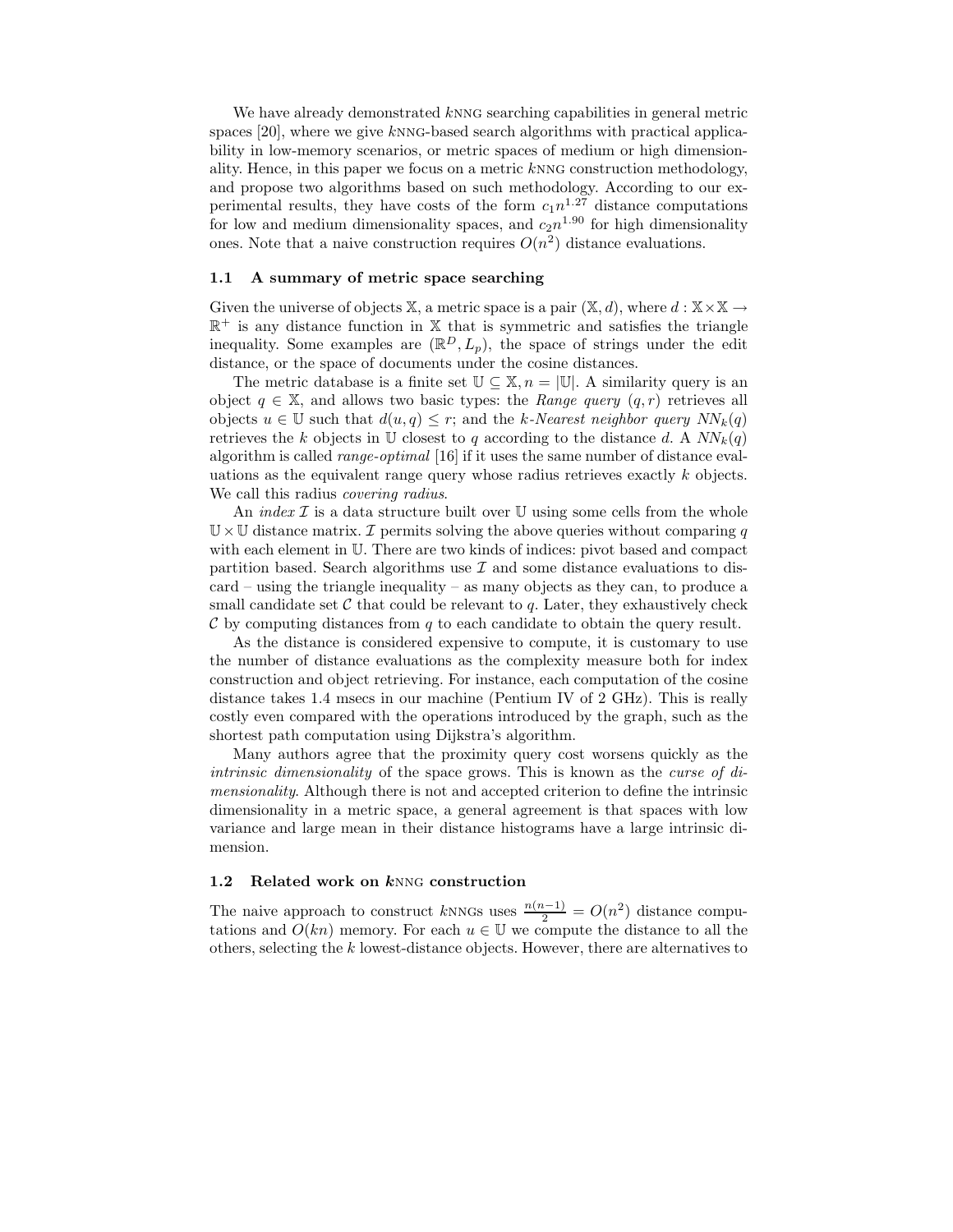We have already demonstrated knng searching capabilities in general metric spaces [20], where we give knng-based search algorithms with practical applicability in low-memory scenarios, or metric spaces of medium or high dimensionality. Hence, in this paper we focus on a metric knng construction methodology, and propose two algorithms based on such methodology. According to our experimental results, they have costs of the form  $c_1n^{1.27}$  distance computations for low and medium dimensionality spaces, and  $c_2n^{1.90}$  for high dimensionality ones. Note that a naive construction requires  $O(n^2)$  distance evaluations.

#### 1.1 A summary of metric space searching

Given the universe of objects X, a metric space is a pair  $(\mathbb{X}, d)$ , where  $d : \mathbb{X} \times \mathbb{X} \rightarrow$  $\mathbb{R}^+$  is any distance function in X that is symmetric and satisfies the triangle inequality. Some examples are  $(\mathbb{R}^D, L_p)$ , the space of strings under the edit distance, or the space of documents under the cosine distances.

The metric database is a finite set  $\mathbb{U} \subseteq \mathbb{X}, n = |\mathbb{U}|$ . A similarity query is an object  $q \in \mathbb{X}$ , and allows two basic types: the *Range query*  $(q, r)$  retrieves all objects  $u \in \mathbb{U}$  such that  $d(u, q) \leq r$ ; and the k-Nearest neighbor query  $NN_k(q)$ retrieves the k objects in U closest to q according to the distance d. A  $NN_k(q)$ algorithm is called range-optimal [16] if it uses the same number of distance evaluations as the equivalent range query whose radius retrieves exactly k objects. We call this radius *covering radius*.

An index  $\mathcal I$  is a data structure built over U using some cells from the whole  $\mathbb{U}\times\mathbb{U}$  distance matrix. *I* permits solving the above queries without comparing q with each element in U. There are two kinds of indices: pivot based and compact partition based. Search algorithms use  $\mathcal I$  and some distance evaluations to discard – using the triangle inequality – as many objects as they can, to produce a small candidate set  $\mathcal C$  that could be relevant to  $q$ . Later, they exhaustively check  $\mathcal C$  by computing distances from  $q$  to each candidate to obtain the query result.

As the distance is considered expensive to compute, it is customary to use the number of distance evaluations as the complexity measure both for index construction and object retrieving. For instance, each computation of the cosine distance takes 1.4 msecs in our machine (Pentium IV of 2 GHz). This is really costly even compared with the operations introduced by the graph, such as the shortest path computation using Dijkstra's algorithm.

Many authors agree that the proximity query cost worsens quickly as the intrinsic dimensionality of the space grows. This is known as the curse of dimensionality. Although there is not and accepted criterion to define the intrinsic dimensionality in a metric space, a general agreement is that spaces with low variance and large mean in their distance histograms have a large intrinsic dimension.

### 1.2 Related work on kNNG construction

The naive approach to construct kNNGs uses  $\frac{n(n-1)}{2} = O(n^2)$  distance computations and  $O(kn)$  memory. For each  $u \in \mathbb{U}$  we compute the distance to all the others, selecting the k lowest-distance objects. However, there are alternatives to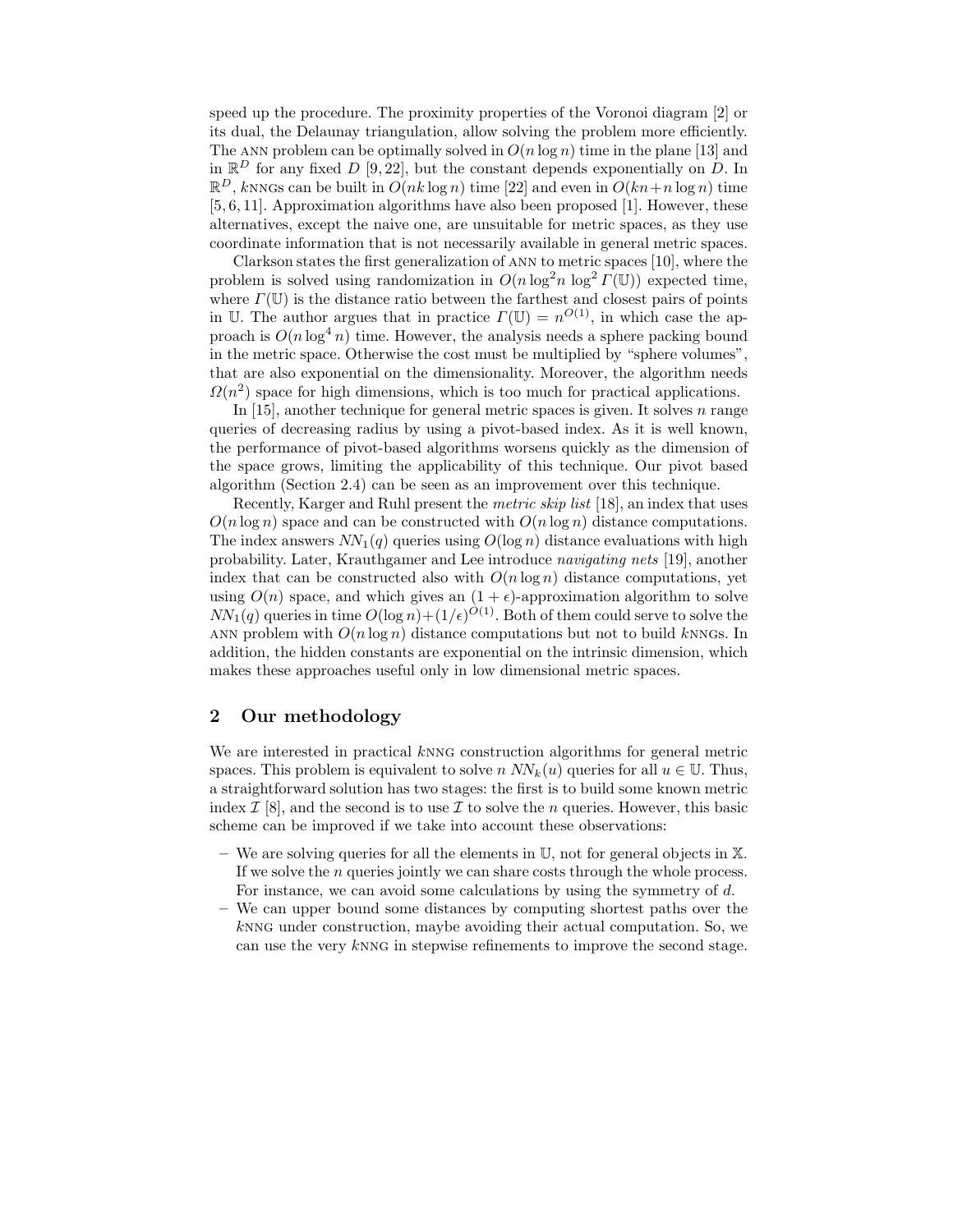speed up the procedure. The proximity properties of the Voronoi diagram [2] or its dual, the Delaunay triangulation, allow solving the problem more efficiently. The ANN problem can be optimally solved in  $O(n \log n)$  time in the plane [13] and in  $\mathbb{R}^D$  for any fixed D [9, 22], but the constant depends exponentially on D. In  $\mathbb{R}^D$ , knngs can be built in  $O(nk \log n)$  time [22] and even in  $O(kn+n \log n)$  time [5, 6, 11]. Approximation algorithms have also been proposed [1]. However, these alternatives, except the naive one, are unsuitable for metric spaces, as they use coordinate information that is not necessarily available in general metric spaces.

Clarkson states the first generalization of ann to metric spaces [10], where the problem is solved using randomization in  $O(n \log^2 n \log^2 T(\mathbb{U}))$  expected time, where  $\Gamma(\mathbb{U})$  is the distance ratio between the farthest and closest pairs of points in U. The author argues that in practice  $\Gamma(\mathbb{U}) = n^{O(1)}$ , in which case the approach is  $O(n \log^4 n)$  time. However, the analysis needs a sphere packing bound in the metric space. Otherwise the cost must be multiplied by "sphere volumes", that are also exponential on the dimensionality. Moreover, the algorithm needs  $\Omega(n^2)$  space for high dimensions, which is too much for practical applications.

In  $[15]$ , another technique for general metric spaces is given. It solves n range queries of decreasing radius by using a pivot-based index. As it is well known, the performance of pivot-based algorithms worsens quickly as the dimension of the space grows, limiting the applicability of this technique. Our pivot based algorithm (Section 2.4) can be seen as an improvement over this technique.

Recently, Karger and Ruhl present the metric skip list [18], an index that uses  $O(n \log n)$  space and can be constructed with  $O(n \log n)$  distance computations. The index answers  $NN_1(q)$  queries using  $O(\log n)$  distance evaluations with high probability. Later, Krauthgamer and Lee introduce navigating nets [19], another index that can be constructed also with  $O(n \log n)$  distance computations, yet using  $O(n)$  space, and which gives an  $(1 + \epsilon)$ -approximation algorithm to solve  $NN_1(q)$  queries in time  $O(\log n) + (1/\epsilon)^{O(1)}$ . Both of them could serve to solve the ANN problem with  $O(n \log n)$  distance computations but not to build knngs. In addition, the hidden constants are exponential on the intrinsic dimension, which makes these approaches useful only in low dimensional metric spaces.

# 2 Our methodology

We are interested in practical kNNG construction algorithms for general metric spaces. This problem is equivalent to solve n  $NN_k(u)$  queries for all  $u \in \mathbb{U}$ . Thus, a straightforward solution has two stages: the first is to build some known metric index  $\mathcal{I}$  [8], and the second is to use  $\mathcal{I}$  to solve the n queries. However, this basic scheme can be improved if we take into account these observations:

- We are solving queries for all the elements in  $\mathbb{U}$ , not for general objects in  $\mathbb{X}$ . If we solve the  $n$  queries jointly we can share costs through the whole process. For instance, we can avoid some calculations by using the symmetry of d.
- We can upper bound some distances by computing shortest paths over the knng under construction, maybe avoiding their actual computation. So, we can use the very knng in stepwise refinements to improve the second stage.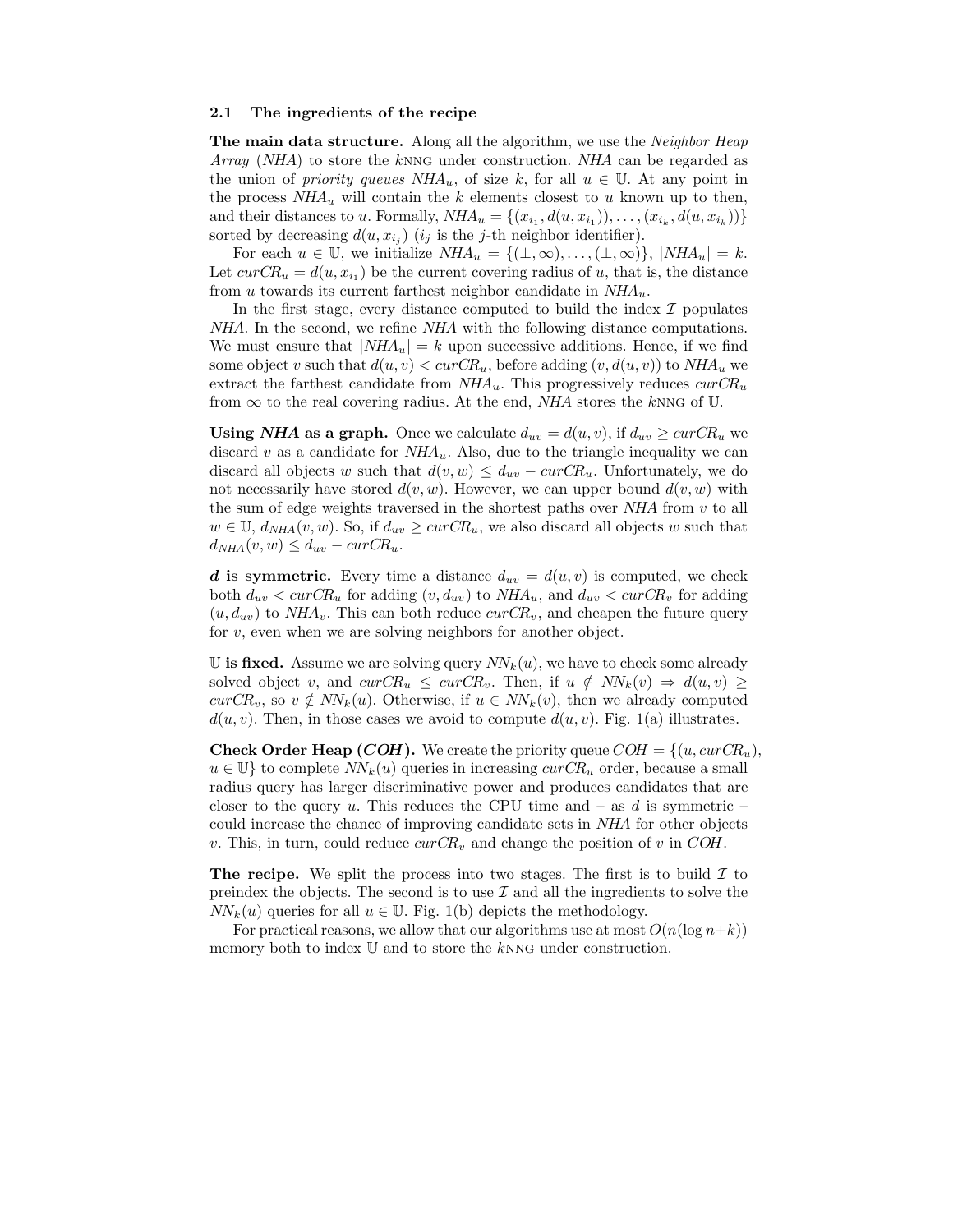#### 2.1 The ingredients of the recipe

The main data structure. Along all the algorithm, we use the *Neighbor Heap* Array (NHA) to store the knng under construction. NHA can be regarded as the union of *priority queues NHA<sub>u</sub>*, of size k, for all  $u \in \mathbb{U}$ . At any point in the process  $NHA_u$  will contain the k elements closest to u known up to then, and their distances to u. Formally,  $NHA_u = \{(x_{i_1}, d(u, x_{i_1})), \ldots, (x_{i_k}, d(u, x_{i_k}))\}$ sorted by decreasing  $d(u, x_{i_j})$  (i<sub>j</sub> is the j-th neighbor identifier).

For each  $u \in \mathbb{U}$ , we initialize  $NHA_u = \{(\bot, \infty), \ldots, (\bot, \infty)\}, |NHA_u| = k$ . Let  $curCR_u = d(u, x_{i_1})$  be the current covering radius of u, that is, the distance from u towards its current farthest neighbor candidate in  $NHA_u$ .

In the first stage, every distance computed to build the index  $\mathcal I$  populates NHA. In the second, we refine NHA with the following distance computations. We must ensure that  $|NHA_u| = k$  upon successive additions. Hence, if we find some object v such that  $d(u, v) < curCR_u$ , before adding  $(v, d(u, v))$  to  $NHA_u$  we extract the farthest candidate from  $NHA_u$ . This progressively reduces  $curCR_u$ from  $\infty$  to the real covering radius. At the end, *NHA* stores the knng of U.

Using *NHA* as a graph. Once we calculate  $d_{uv} = d(u, v)$ , if  $d_{uv} \geq curCR_u$  we discard v as a candidate for  $NHA_u$ . Also, due to the triangle inequality we can discard all objects w such that  $d(v, w) \leq d_{uv} - \text{curCR}_u$ . Unfortunately, we do not necessarily have stored  $d(v, w)$ . However, we can upper bound  $d(v, w)$  with the sum of edge weights traversed in the shortest paths over  $NHA$  from  $v$  to all  $w \in \mathbb{U}$ ,  $d_{NHA}(v, w)$ . So, if  $d_{uv} \geq curCR_u$ , we also discard all objects w such that  $d_{NHA}(v, w) \leq d_{uv} - curCR_u.$ 

d is symmetric. Every time a distance  $d_{uv} = d(u, v)$  is computed, we check both  $d_{uv} < curCR_u$  for adding  $(v, d_{uv})$  to  $NHA_u$ , and  $d_{uv} < curCR_v$  for adding  $(u, d_{uv})$  to  $NHA_v$ . This can both reduce  $curCR_v$ , and cheapen the future query for  $v$ , even when we are solving neighbors for another object.

U is fixed. Assume we are solving query  $NN_k(u)$ , we have to check some already solved object v, and  $curCR_u \leq curCR_v$ . Then, if  $u \notin NN_k(v) \Rightarrow d(u, v) \geq$  $curCR_v$ , so  $v \notin NN_k(u)$ . Otherwise, if  $u \in NN_k(v)$ , then we already computed  $d(u, v)$ . Then, in those cases we avoid to compute  $d(u, v)$ . Fig. 1(a) illustrates.

**Check Order Heap (COH).** We create the priority queue  $COH = \{(u, curCR_u),\}$  $u \in \mathbb{U}$  to complete  $NN_k(u)$  queries in increasing  $curCR_u$  order, because a small radius query has larger discriminative power and produces candidates that are closer to the query u. This reduces the CPU time and – as d is symmetric – could increase the chance of improving candidate sets in NHA for other objects v. This, in turn, could reduce  $curCR_v$  and change the position of v in COH.

**The recipe.** We split the process into two stages. The first is to build  $\mathcal{I}$  to preindex the objects. The second is to use  $\mathcal I$  and all the ingredients to solve the  $NN_k(u)$  queries for all  $u \in \mathbb{U}$ . Fig. 1(b) depicts the methodology.

For practical reasons, we allow that our algorithms use at most  $O(n(\log n+k))$ memory both to index  $U$  and to store the  $k$ NNG under construction.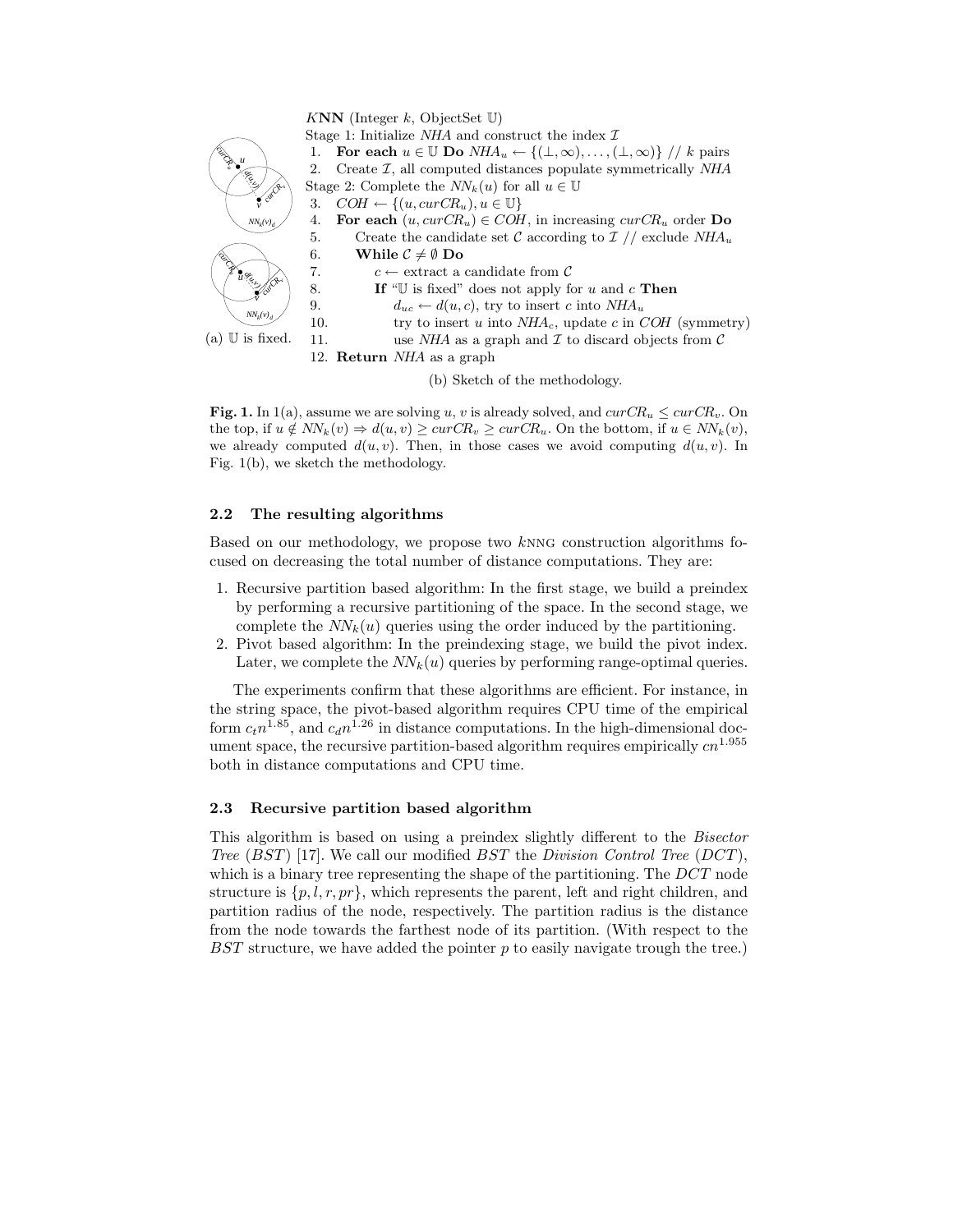

(b) Sketch of the methodology.

Fig. 1. In 1(a), assume we are solving u, v is already solved, and  $curCR_u \leq curCR_v$ . On the top, if  $u \notin NN_k(v) \Rightarrow d(u, v) \geq curCR_v \geq curCR_u$ . On the bottom, if  $u \in NN_k(v)$ , we already computed  $d(u, v)$ . Then, in those cases we avoid computing  $d(u, v)$ . In Fig. 1(b), we sketch the methodology.

## 2.2 The resulting algorithms

Based on our methodology, we propose two knng construction algorithms focused on decreasing the total number of distance computations. They are:

- 1. Recursive partition based algorithm: In the first stage, we build a preindex by performing a recursive partitioning of the space. In the second stage, we complete the  $NN_k(u)$  queries using the order induced by the partitioning.
- 2. Pivot based algorithm: In the preindexing stage, we build the pivot index. Later, we complete the  $NN_k(u)$  queries by performing range-optimal queries.

The experiments confirm that these algorithms are efficient. For instance, in the string space, the pivot-based algorithm requires CPU time of the empirical form  $c_t n^{1.85}$ , and  $c_d n^{1.26}$  in distance computations. In the high-dimensional document space, the recursive partition-based algorithm requires empirically  $cn^{1.955}$ both in distance computations and CPU time.

#### 2.3 Recursive partition based algorithm

This algorithm is based on using a preindex slightly different to the Bisector Tree  $(BST)$  [17]. We call our modified  $BST$  the Division Control Tree (DCT), which is a binary tree representing the shape of the partitioning. The DCT node structure is  $\{p, l, r, pr\}$ , which represents the parent, left and right children, and partition radius of the node, respectively. The partition radius is the distance from the node towards the farthest node of its partition. (With respect to the BST structure, we have added the pointer p to easily navigate trough the tree.)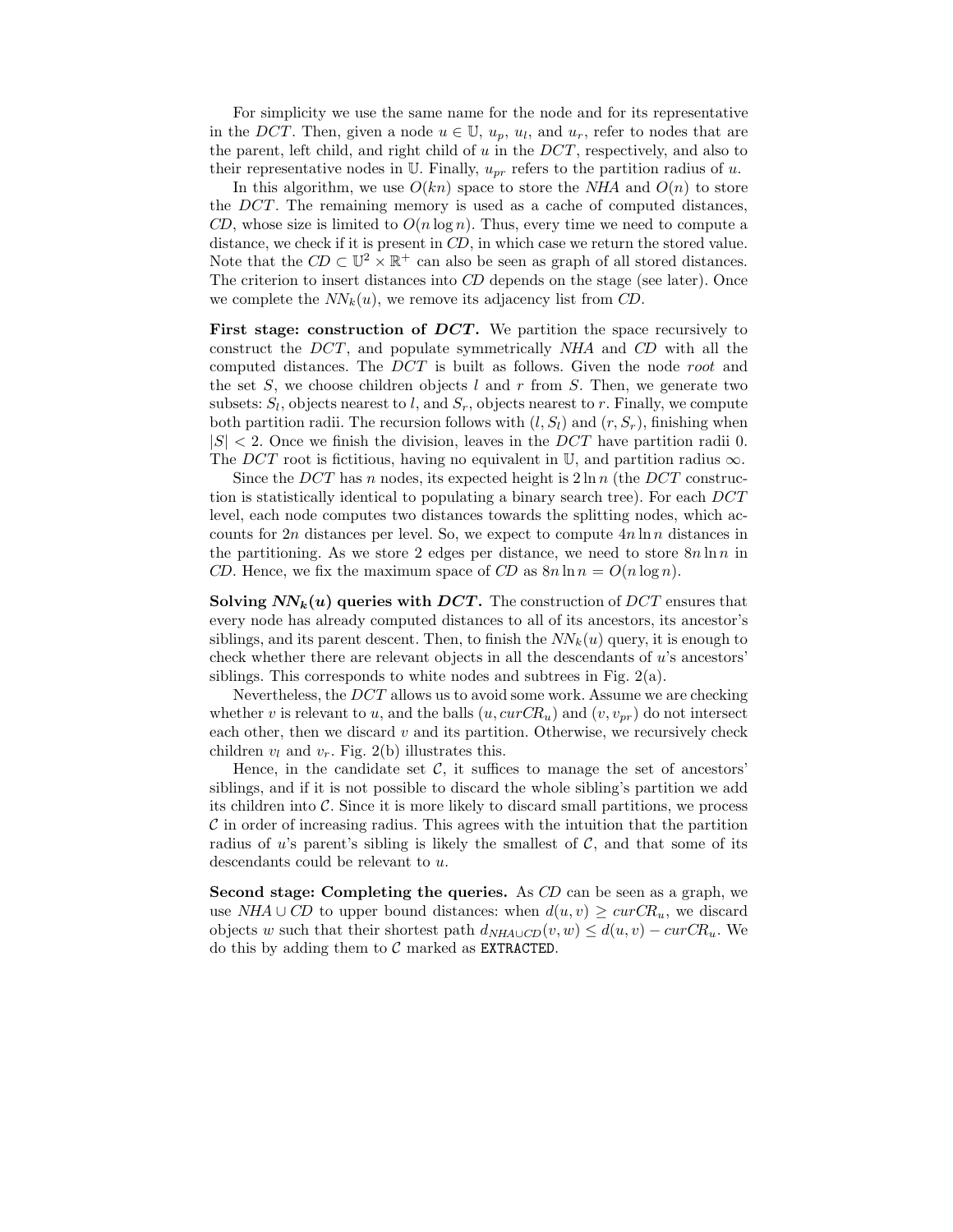For simplicity we use the same name for the node and for its representative in the DCT. Then, given a node  $u \in \mathbb{U}$ ,  $u_p$ ,  $u_l$ , and  $u_r$ , refer to nodes that are the parent, left child, and right child of  $u$  in the  $DCT$ , respectively, and also to their representative nodes in U. Finally,  $u_{pr}$  refers to the partition radius of u.

In this algorithm, we use  $O(kn)$  space to store the NHA and  $O(n)$  to store the DCT. The remaining memory is used as a cache of computed distances, CD, whose size is limited to  $O(n \log n)$ . Thus, every time we need to compute a distance, we check if it is present in  $CD$ , in which case we return the stored value. Note that the  $CD \subset \mathbb{U}^2 \times \mathbb{R}^+$  can also be seen as graph of all stored distances. The criterion to insert distances into CD depends on the stage (see later). Once we complete the  $NN_k(u)$ , we remove its adjacency list from CD.

First stage: construction of DCT. We partition the space recursively to construct the DCT , and populate symmetrically NHA and CD with all the computed distances. The DCT is built as follows. Given the node root and the set S, we choose children objects l and r from S. Then, we generate two subsets:  $S_l$ , objects nearest to l, and  $S_r$ , objects nearest to r. Finally, we compute both partition radii. The recursion follows with  $(l, S_l)$  and  $(r, S_r)$ , finishing when  $|S|$  < 2. Once we finish the division, leaves in the DCT have partition radii 0. The DCT root is fictitious, having no equivalent in  $\mathbb{U}$ , and partition radius  $\infty$ .

Since the DCT has n nodes, its expected height is  $2 \ln n$  (the DCT construction is statistically identical to populating a binary search tree). For each DCT level, each node computes two distances towards the splitting nodes, which accounts for  $2n$  distances per level. So, we expect to compute  $4n \ln n$  distances in the partitioning. As we store 2 edges per distance, we need to store  $8n \ln n$  in CD. Hence, we fix the maximum space of CD as  $8n \ln n = O(n \log n)$ .

Solving  $NN_k(u)$  queries with DCT. The construction of DCT ensures that every node has already computed distances to all of its ancestors, its ancestor's siblings, and its parent descent. Then, to finish the  $NN_k(u)$  query, it is enough to check whether there are relevant objects in all the descendants of  $u$ 's ancestors' siblings. This corresponds to white nodes and subtrees in Fig. 2(a).

Nevertheless, the DCT allows us to avoid some work. Assume we are checking whether v is relevant to u, and the balls  $(u, curCR_u)$  and  $(v, v_{pr})$  do not intersect each other, then we discard  $v$  and its partition. Otherwise, we recursively check children  $v_l$  and  $v_r$ . Fig. 2(b) illustrates this.

Hence, in the candidate set  $C$ , it suffices to manage the set of ancestors' siblings, and if it is not possible to discard the whole sibling's partition we add its children into  $\mathcal C$ . Since it is more likely to discard small partitions, we process  $\mathcal C$  in order of increasing radius. This agrees with the intuition that the partition radius of u's parent's sibling is likely the smallest of  $C$ , and that some of its descendants could be relevant to u.

Second stage: Completing the queries. As CD can be seen as a graph, we use NHA ∪ CD to upper bound distances: when  $d(u, v) \geq curCR_u$ , we discard objects w such that their shortest path  $d_{NHA\cup CD}(v, w) \leq d(u, v) - \text{curCR}_u$ . We do this by adding them to  $\mathcal C$  marked as EXTRACTED.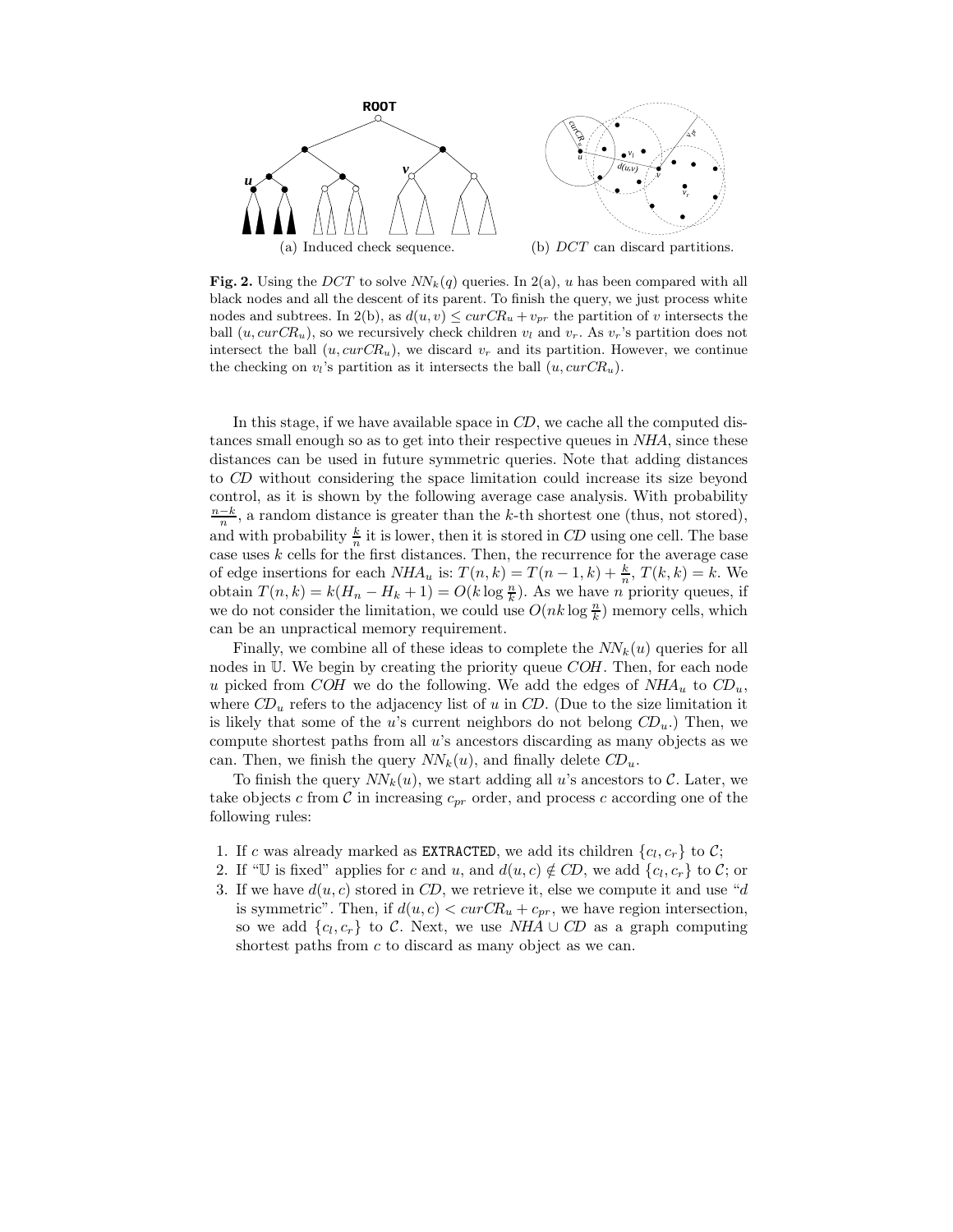

Fig. 2. Using the DCT to solve  $NN_k(q)$  queries. In 2(a), u has been compared with all black nodes and all the descent of its parent. To finish the query, we just process white nodes and subtrees. In 2(b), as  $d(u, v) \leq curCR_u + v_{pr}$  the partition of v intersects the ball  $(u, \text{curCR}_u)$ , so we recursively check children  $v_l$  and  $v_r$ . As  $v_r$ 's partition does not intersect the ball  $(u, curCR_u)$ , we discard  $v_r$  and its partition. However, we continue the checking on  $v_i$ 's partition as it intersects the ball  $(u, curCR_u)$ .

In this stage, if we have available space in CD, we cache all the computed distances small enough so as to get into their respective queues in NHA, since these distances can be used in future symmetric queries. Note that adding distances to CD without considering the space limitation could increase its size beyond control, as it is shown by the following average case analysis. With probability  $\frac{n-k}{n}$ , a random distance is greater than the k-th shortest one (thus, not stored), and with probability  $\frac{k}{n}$  it is lower, then it is stored in CD using one cell. The base case uses  $k$  cells for the first distances. Then, the recurrence for the average case of edge insertions for each  $NHA_u$  is:  $T(n,k) = T(n-1,k) + \frac{k}{n}, T(k,k) = k$ . We obtain  $T(n,k) = k(H_n - H_k + 1) = O(k \log \frac{n}{k})$ . As we have *n* priority queues, if we do not consider the limitation, we could use  $O(nk \log \frac{n}{k})$  memory cells, which can be an unpractical memory requirement.

Finally, we combine all of these ideas to complete the  $NN_k(u)$  queries for all nodes in U. We begin by creating the priority queue COH. Then, for each node u picked from COH we do the following. We add the edges of  $NHA_u$  to  $CD_u$ , where  $CD_u$  refers to the adjacency list of u in CD. (Due to the size limitation it is likely that some of the u's current neighbors do not belong  $CD_u$ .) Then, we compute shortest paths from all u's ancestors discarding as many objects as we can. Then, we finish the query  $NN_k(u)$ , and finally delete  $CD_u$ .

To finish the query  $NN_k(u)$ , we start adding all u's ancestors to C. Later, we take objects c from  $\mathcal C$  in increasing  $c_{pr}$  order, and process c according one of the following rules:

- 1. If c was already marked as **EXTRACTED**, we add its children  $\{c_l, c_r\}$  to  $C$ ;
- 2. If "U is fixed" applies for c and u, and  $d(u, c) \notin CD$ , we add  $\{c_l, c_r\}$  to C; or
- 3. If we have  $d(u, c)$  stored in CD, we retrieve it, else we compute it and use "d is symmetric". Then, if  $d(u, c) < curCR_u + c_{pr}$ , we have region intersection, so we add  $\{c_l, c_r\}$  to C. Next, we use NHA ∪ CD as a graph computing shortest paths from  $c$  to discard as many object as we can.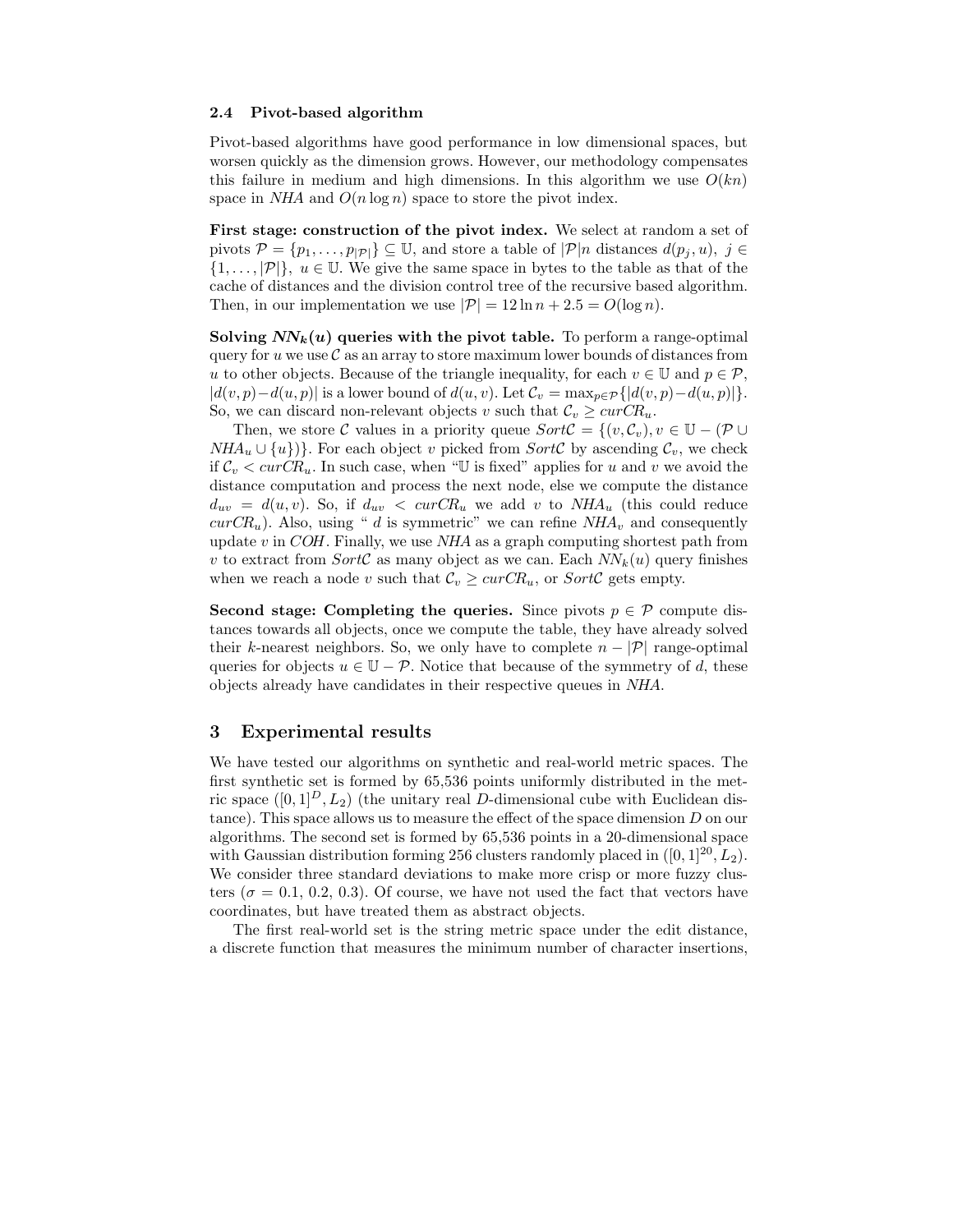#### 2.4 Pivot-based algorithm

Pivot-based algorithms have good performance in low dimensional spaces, but worsen quickly as the dimension grows. However, our methodology compensates this failure in medium and high dimensions. In this algorithm we use  $O(kn)$ space in  $NHA$  and  $O(n \log n)$  space to store the pivot index.

First stage: construction of the pivot index. We select at random a set of pivots  $\mathcal{P} = \{p_1, \ldots, p_{|\mathcal{P}|}\}\subseteq \mathbb{U}$ , and store a table of  $|\mathcal{P}|n$  distances  $d(p_i, u)$ ,  $j \in \mathcal{P}$  $\{1,\ldots,|\mathcal{P}|\}, u \in \mathbb{U}$ . We give the same space in bytes to the table as that of the cache of distances and the division control tree of the recursive based algorithm. Then, in our implementation we use  $|\mathcal{P}| = 12 \ln n + 2.5 = O(\log n)$ .

Solving  $NN_k(u)$  queries with the pivot table. To perform a range-optimal query for u we use  $\mathcal C$  as an array to store maximum lower bounds of distances from u to other objects. Because of the triangle inequality, for each  $v \in \mathbb{U}$  and  $p \in \mathcal{P}$ ,  $|d(v, p)-d(u, p)|$  is a lower bound of  $d(u, v)$ . Let  $\mathcal{C}_v = \max_{p \in \mathcal{P}} \{|d(v, p)-d(u, p)|\}.$ So, we can discard non-relevant objects v such that  $\mathcal{C}_v \geq \text{curCR}_u$ .

Then, we store C values in a priority queue  $SortC = \{(v, C_v), v \in \mathbb{U} - (\mathcal{P} \cup$  $NHA_u \cup \{u\}\$ . For each object v picked from SortC by ascending  $\mathcal{C}_v$ , we check if  $\mathcal{C}_v < \text{curCR}_u$ . In such case, when "U is fixed" applies for u and v we avoid the distance computation and process the next node, else we compute the distance  $d_{uv} = d(u, v)$ . So, if  $d_{uv} < curCR_u$  we add v to  $NHA_u$  (this could reduce  $curCR_u$ ). Also, using " d is symmetric" we can refine  $NHA_v$  and consequently update  $v$  in COH. Finally, we use  $NHA$  as a graph computing shortest path from v to extract from SortC as many object as we can. Each  $NN_k(u)$  query finishes when we reach a node v such that  $\mathcal{C}_v \geq \text{curCR}_u$ , or  $\text{SortC}$  gets empty.

Second stage: Completing the queries. Since pivots  $p \in \mathcal{P}$  compute distances towards all objects, once we compute the table, they have already solved their k-nearest neighbors. So, we only have to complete  $n - |\mathcal{P}|$  range-optimal queries for objects  $u \in \mathbb{U} - \mathcal{P}$ . Notice that because of the symmetry of d, these objects already have candidates in their respective queues in NHA.

# 3 Experimental results

We have tested our algorithms on synthetic and real-world metric spaces. The first synthetic set is formed by 65,536 points uniformly distributed in the metric space  $([0, 1]^D, L_2)$  (the unitary real D-dimensional cube with Euclidean distance). This space allows us to measure the effect of the space dimension D on our algorithms. The second set is formed by 65,536 points in a 20-dimensional space with Gaussian distribution forming 256 clusters randomly placed in  $([0, 1]^{20}, L_2)$ . We consider three standard deviations to make more crisp or more fuzzy clusters ( $\sigma = 0.1, 0.2, 0.3$ ). Of course, we have not used the fact that vectors have coordinates, but have treated them as abstract objects.

The first real-world set is the string metric space under the edit distance, a discrete function that measures the minimum number of character insertions,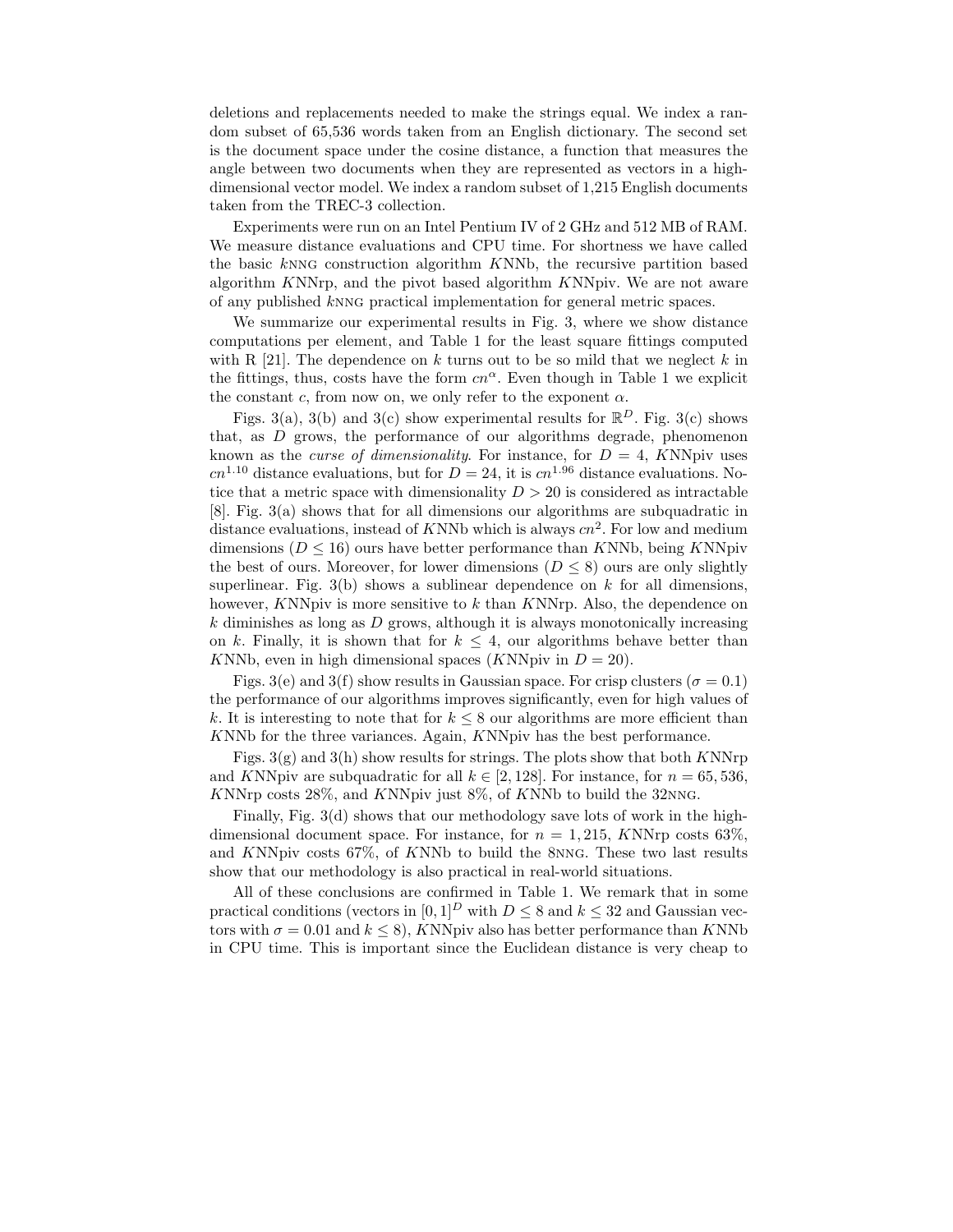deletions and replacements needed to make the strings equal. We index a random subset of 65,536 words taken from an English dictionary. The second set is the document space under the cosine distance, a function that measures the angle between two documents when they are represented as vectors in a highdimensional vector model. We index a random subset of 1,215 English documents taken from the TREC-3 collection.

Experiments were run on an Intel Pentium IV of 2 GHz and 512 MB of RAM. We measure distance evaluations and CPU time. For shortness we have called the basic knng construction algorithm KNNb, the recursive partition based algorithm KNNrp, and the pivot based algorithm KNNpiv. We are not aware of any published knng practical implementation for general metric spaces.

We summarize our experimental results in Fig. 3, where we show distance computations per element, and Table 1 for the least square fittings computed with R  $[21]$ . The dependence on k turns out to be so mild that we neglect k in the fittings, thus, costs have the form  $cn^{\alpha}$ . Even though in Table 1 we explicit the constant c, from now on, we only refer to the exponent  $\alpha$ .

Figs. 3(a), 3(b) and 3(c) show experimental results for  $\mathbb{R}^D$ . Fig. 3(c) shows that, as D grows, the performance of our algorithms degrade, phenomenon known as the *curse of dimensionality*. For instance, for  $D = 4$ , KNNpiv uses  $cn^{1.10}$  distance evaluations, but for  $D = 24$ , it is  $cn^{1.96}$  distance evaluations. Notice that a metric space with dimensionality  $D > 20$  is considered as intractable [8]. Fig. 3(a) shows that for all dimensions our algorithms are subquadratic in distance evaluations, instead of KNNb which is always  $cn^2$ . For low and medium dimensions ( $D \le 16$ ) ours have better performance than KNNb, being KNNpiv the best of ours. Moreover, for lower dimensions  $(D \le 8)$  ours are only slightly superlinear. Fig. 3(b) shows a sublinear dependence on k for all dimensions, however, KNNpiv is more sensitive to k than KNNrp. Also, the dependence on  $k$  diminishes as long as  $D$  grows, although it is always monotonically increasing on k. Finally, it is shown that for  $k \leq 4$ , our algorithms behave better than KNNb, even in high dimensional spaces (KNNpiv in  $D = 20$ ).

Figs. 3(e) and 3(f) show results in Gaussian space. For crisp clusters ( $\sigma = 0.1$ ) the performance of our algorithms improves significantly, even for high values of k. It is interesting to note that for  $k \leq 8$  our algorithms are more efficient than KNNb for the three variances. Again, KNNpiv has the best performance.

Figs.  $3(g)$  and  $3(h)$  show results for strings. The plots show that both KNNrp and KNNpiv are subquadratic for all  $k \in [2, 128]$ . For instance, for  $n = 65, 536$ , KNNrp costs 28%, and KNNpiv just 8%, of KNNb to build the 32nng.

Finally, Fig. 3(d) shows that our methodology save lots of work in the highdimensional document space. For instance, for  $n = 1,215$ , KNNrp costs 63%, and KNNpiv costs 67%, of KNNb to build the 8nng. These two last results show that our methodology is also practical in real-world situations.

All of these conclusions are confirmed in Table 1. We remark that in some practical conditions (vectors in  $[0, 1]^D$  with  $D \leq 8$  and  $k \leq 32$  and Gaussian vectors with  $\sigma = 0.01$  and  $k \le 8$ ), KNNpiv also has better performance than KNNb in CPU time. This is important since the Euclidean distance is very cheap to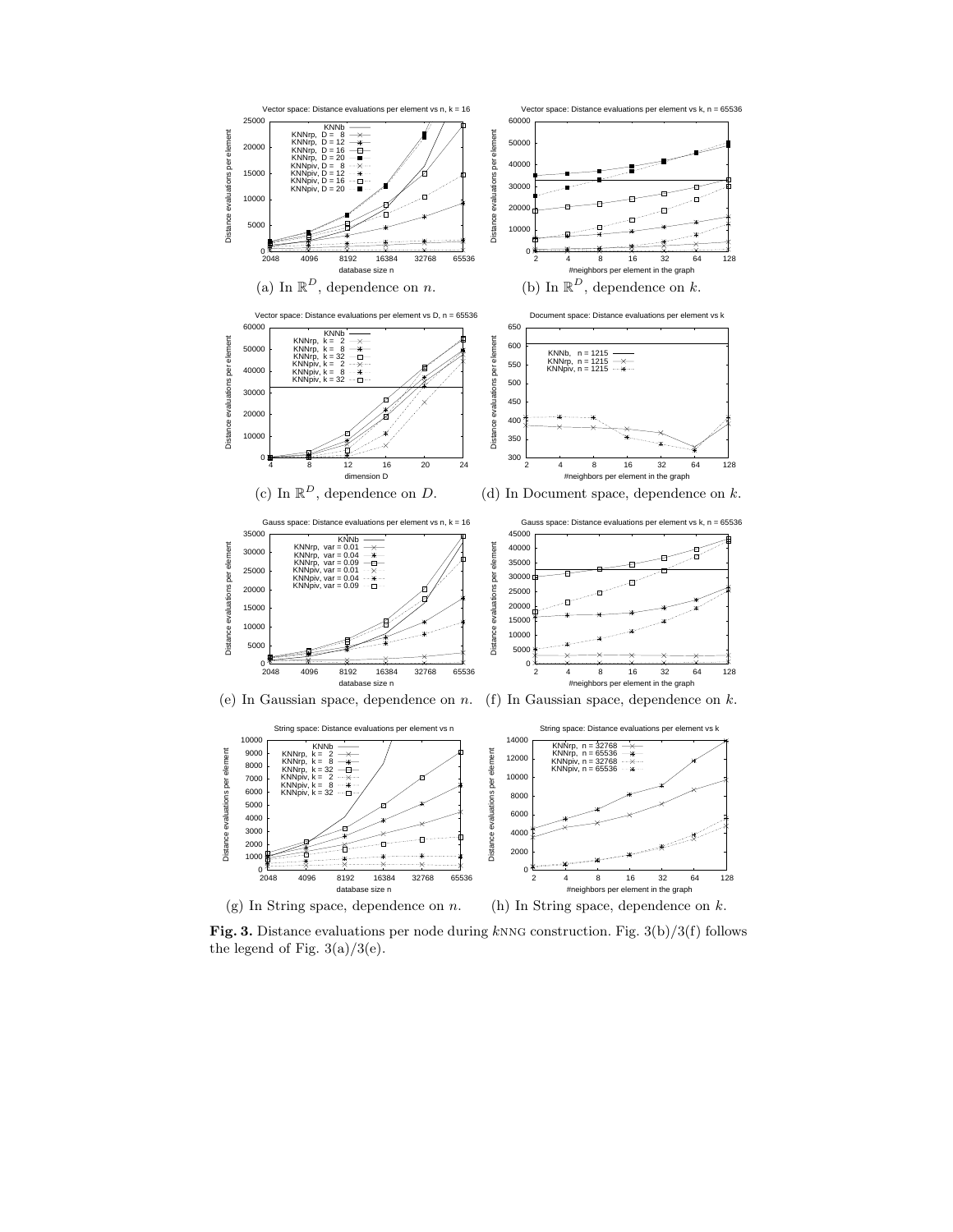

Fig. 3. Distance evaluations per node during knng construction. Fig.  $3(b)/3(f)$  follows the legend of Fig.  $3(a)/3(e)$ .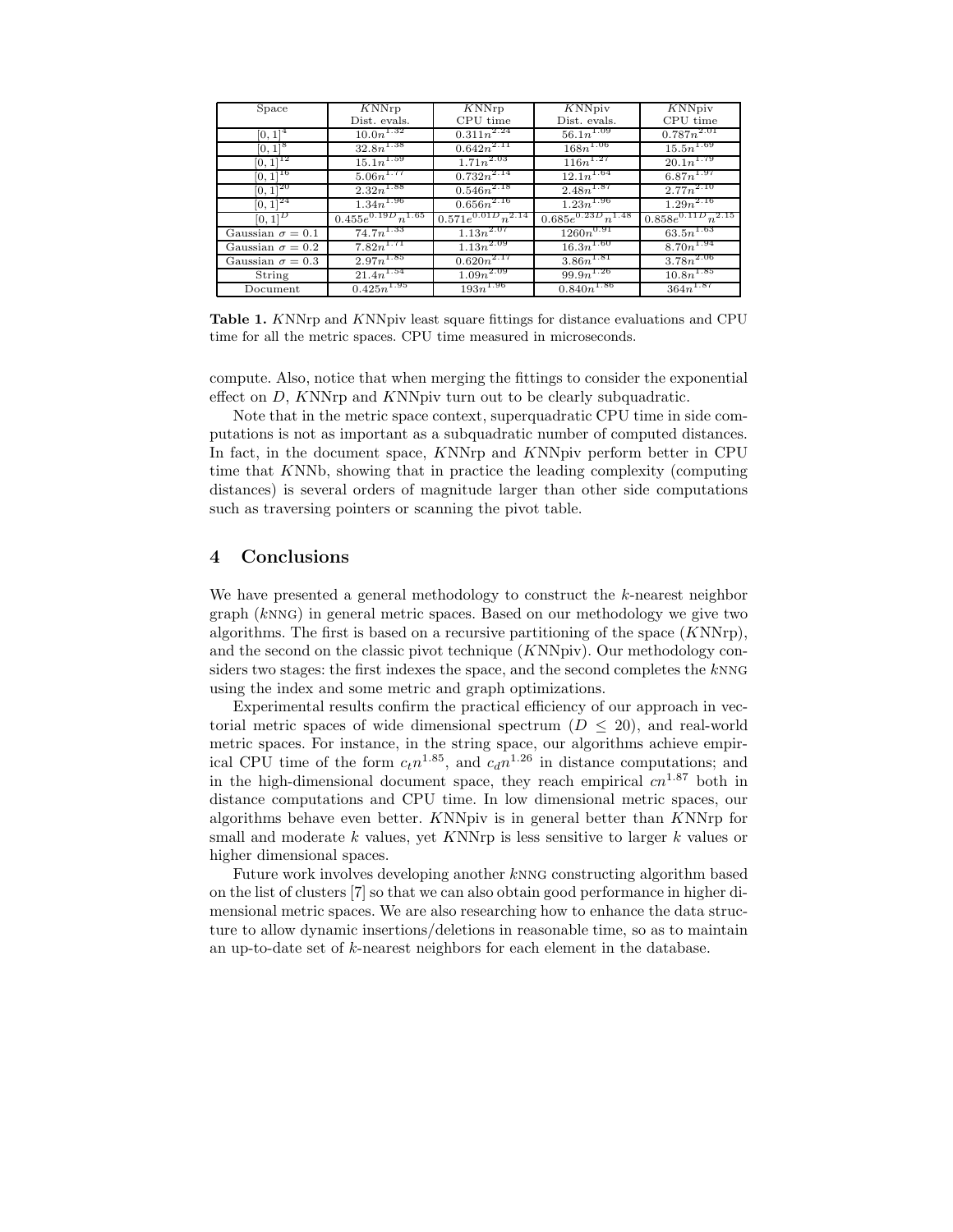| Space                   | KNNrp                    | KNNrp                     | KNNpiv                    | <b>KNNpiv</b>             |
|-------------------------|--------------------------|---------------------------|---------------------------|---------------------------|
|                         | Dist. evals.             | CPU time                  | Dist. evals.              | CPU time                  |
| $[0, 1]^{4}$            | $10.0n^{1.32}$           | $0.311n^{2.24}$           | $56.1n^{1.09}$            | $0.787n^{2.01}$           |
| $[0, 1]^{8}$            | $32.8n^{1.38}$           | $0.642n^{2.11}$           | $168n^{1.06}$             | $15.5n^{1.69}$            |
| $[0, 1]^{12}$           | $15.1n^{1.59}$           | $1.71n^{2.03}$            | $116n^{1.27}$             | $20.1n^{1.79}$            |
| $[0, 1]^{16}$           | $5.06n^{1.77}$           | $0.732n^{2.14}$           | $12.1n^{1.64}$            | $6.\overline{87n^{1.97}}$ |
| $[0, 1]^{20}$           | $2.32n^{1.88}$           | $0.546n^{2.18}$           | $2.48n^{1.87}$            | $2.77n^{2.10}$            |
| $[0, 1]^{24}$           | $1.34n^{1.96}$           | $0.656n^{2.16}$           | $1.\overline{23n^{1.96}}$ | $1.29n^{2.16}$            |
| $[0, 1]^{D}$            | $0.455e^{0.19D}n^{1.65}$ | $0.571e^{0.01D}n^{2.14}$  | $0.685e^{0.23D}n^{1.48}$  | $0.858e^{0.11D}n^{2.15}$  |
| Gaussian $\sigma=0.1$   | $74.7n^{1.33}$           | $1.1\overline{3n^{2.07}}$ | $1260n^{0.91}$            | $63.5n^{1.63}$            |
| Gaussian $\sigma = 0.2$ | $7.82n^{1.71}$           | $1.13n^{2.09}$            | $16.3n^{1.60}$            | $8.70n^{1.94}$            |
| Gaussian $\sigma = 0.3$ | $2.97n^{1.85}$           | $0.620n^{2.17}$           | $3.86n^{1.81}$            | $3.78n^{2.06}$            |
| String                  | $21.4n^{1.54}$           | $1.09n^{2.09}$            | $99.9n^{1.26}$            | $10.8n^{1.85}$            |
| Document                | $0.425n^{1.95}$          | $193n^{1.96}$             | $0.840n^{1.86}$           | $364n^{1.87}$             |

Table 1. KNNrp and KNNpiv least square fittings for distance evaluations and CPU time for all the metric spaces. CPU time measured in microseconds.

compute. Also, notice that when merging the fittings to consider the exponential effect on  $D$ , KNNrp and KNNpiv turn out to be clearly subquadratic.

Note that in the metric space context, superquadratic CPU time in side computations is not as important as a subquadratic number of computed distances. In fact, in the document space, KNNrp and KNNpiv perform better in CPU time that KNNb, showing that in practice the leading complexity (computing distances) is several orders of magnitude larger than other side computations such as traversing pointers or scanning the pivot table.

## 4 Conclusions

We have presented a general methodology to construct the  $k$ -nearest neighbor graph (knng) in general metric spaces. Based on our methodology we give two algorithms. The first is based on a recursive partitioning of the space  $(KNNrp)$ , and the second on the classic pivot technique (KNNpiv). Our methodology considers two stages: the first indexes the space, and the second completes the knng using the index and some metric and graph optimizations.

Experimental results confirm the practical efficiency of our approach in vectorial metric spaces of wide dimensional spectrum  $(D \leq 20)$ , and real-world metric spaces. For instance, in the string space, our algorithms achieve empirical CPU time of the form  $c_t n^{1.85}$ , and  $c_d n^{1.26}$  in distance computations; and in the high-dimensional document space, they reach empirical  $cn^{1.87}$  both in distance computations and CPU time. In low dimensional metric spaces, our algorithms behave even better. KNNpiv is in general better than KNNrp for small and moderate  $k$  values, yet KNNrp is less sensitive to larger  $k$  values or higher dimensional spaces.

Future work involves developing another knng constructing algorithm based on the list of clusters [7] so that we can also obtain good performance in higher dimensional metric spaces. We are also researching how to enhance the data structure to allow dynamic insertions/deletions in reasonable time, so as to maintain an up-to-date set of k-nearest neighbors for each element in the database.